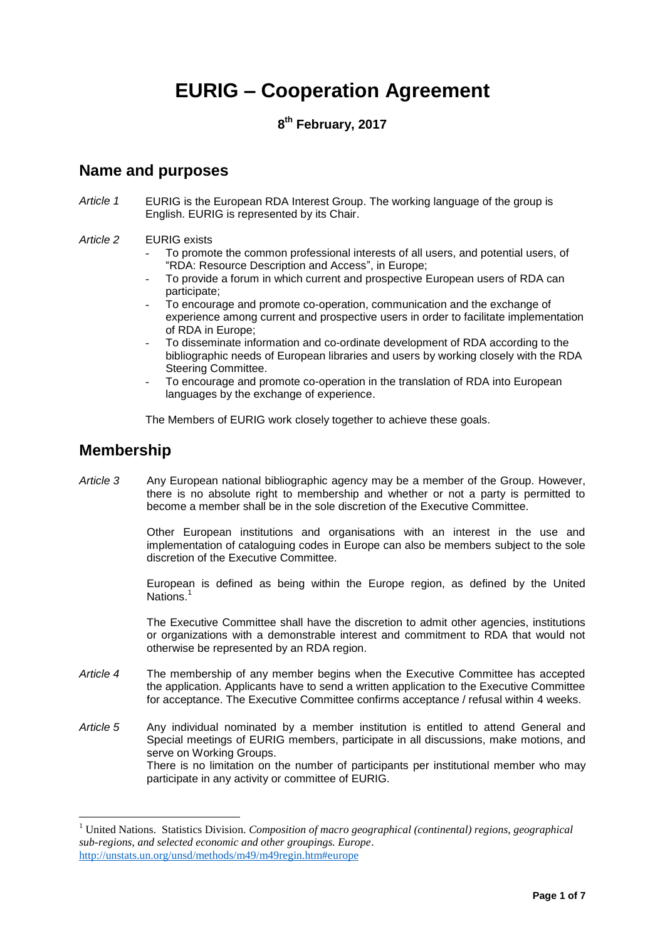# **EURIG – Cooperation Agreement**

#### **8 th February, 2017**

### **Name and purposes**

*Article 1* EURIG is the European RDA Interest Group. The working language of the group is English. EURIG is represented by its Chair.

#### *Article 2* EURIG exists

- To promote the common professional interests of all users, and potential users, of "RDA: Resource Description and Access", in Europe;
- To provide a forum in which current and prospective European users of RDA can participate;
- To encourage and promote co-operation, communication and the exchange of experience among current and prospective users in order to facilitate implementation of RDA in Europe;
- To disseminate information and co-ordinate development of RDA according to the bibliographic needs of European libraries and users by working closely with the RDA Steering Committee.
- To encourage and promote co-operation in the translation of RDA into European languages by the exchange of experience.

The Members of EURIG work closely together to achieve these goals.

### **Membership**

 $\overline{a}$ 

*Article 3* Any European national bibliographic agency may be a member of the Group. However, there is no absolute right to membership and whether or not a party is permitted to become a member shall be in the sole discretion of the Executive Committee.

> Other European institutions and organisations with an interest in the use and implementation of cataloguing codes in Europe can also be members subject to the sole discretion of the Executive Committee.

> European is defined as being within the Europe region, as defined by the United Nations.<sup>1</sup>

> The Executive Committee shall have the discretion to admit other agencies, institutions or organizations with a demonstrable interest and commitment to RDA that would not otherwise be represented by an RDA region.

- *Article 4* The membership of any member begins when the Executive Committee has accepted the application. Applicants have to send a written application to the Executive Committee for acceptance. The Executive Committee confirms acceptance / refusal within 4 weeks.
- *Article 5* Any individual nominated by a member institution is entitled to attend General and Special meetings of EURIG members, participate in all discussions, make motions, and serve on Working Groups. There is no limitation on the number of participants per institutional member who may participate in any activity or committee of EURIG.

<sup>1</sup> United Nations. Statistics Division. *Composition of macro geographical (continental) regions, geographical sub-regions, and selected economic and other groupings. Europe*. <http://unstats.un.org/unsd/methods/m49/m49regin.htm#europe>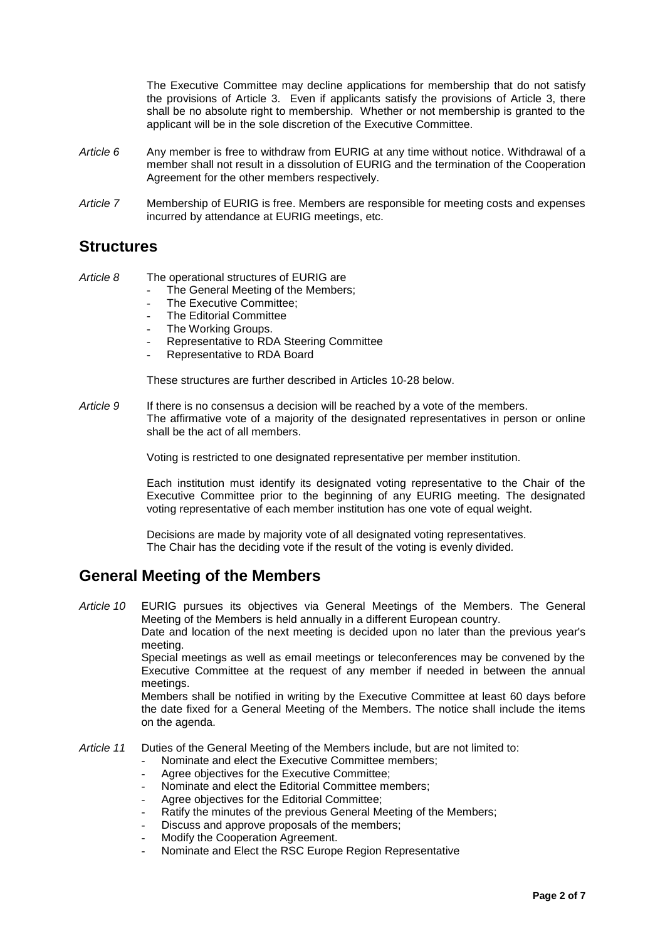The Executive Committee may decline applications for membership that do not satisfy the provisions of Article 3. Even if applicants satisfy the provisions of Article 3, there shall be no absolute right to membership. Whether or not membership is granted to the applicant will be in the sole discretion of the Executive Committee.

- *Article 6* Any member is free to withdraw from EURIG at any time without notice. Withdrawal of a member shall not result in a dissolution of EURIG and the termination of the Cooperation Agreement for the other members respectively.
- *Article 7* Membership of EURIG is free. Members are responsible for meeting costs and expenses incurred by attendance at EURIG meetings, etc.

# **Structures**

*Article 8* The operational structures of EURIG are

- The General Meeting of the Members;
- The Executive Committee;
- The Editorial Committee
- The Working Groups.
- Representative to RDA Steering Committee
- Representative to RDA Board

These structures are further described in Articles 10-28 below.

*Article 9* If there is no consensus a decision will be reached by a vote of the members. The affirmative vote of a majority of the designated representatives in person or online shall be the act of all members.

Voting is restricted to one designated representative per member institution.

Each institution must identify its designated voting representative to the Chair of the Executive Committee prior to the beginning of any EURIG meeting. The designated voting representative of each member institution has one vote of equal weight.

Decisions are made by majority vote of all designated voting representatives. The Chair has the deciding vote if the result of the voting is evenly divided*.* 

#### **General Meeting of the Members**

*Article 10* EURIG pursues its objectives via General Meetings of the Members. The General Meeting of the Members is held annually in a different European country.

Date and location of the next meeting is decided upon no later than the previous year's meeting.

Special meetings as well as email meetings or teleconferences may be convened by the Executive Committee at the request of any member if needed in between the annual meetings.

Members shall be notified in writing by the Executive Committee at least 60 days before the date fixed for a General Meeting of the Members. The notice shall include the items on the agenda.

*Article 11* Duties of the General Meeting of the Members include, but are not limited to:

- Nominate and elect the Executive Committee members;
	- Agree objectives for the Executive Committee;
- Nominate and elect the Editorial Committee members;
- Agree objectives for the Editorial Committee;
- Ratify the minutes of the previous General Meeting of the Members;
- Discuss and approve proposals of the members;
- Modify the Cooperation Agreement.
- Nominate and Elect the RSC Europe Region Representative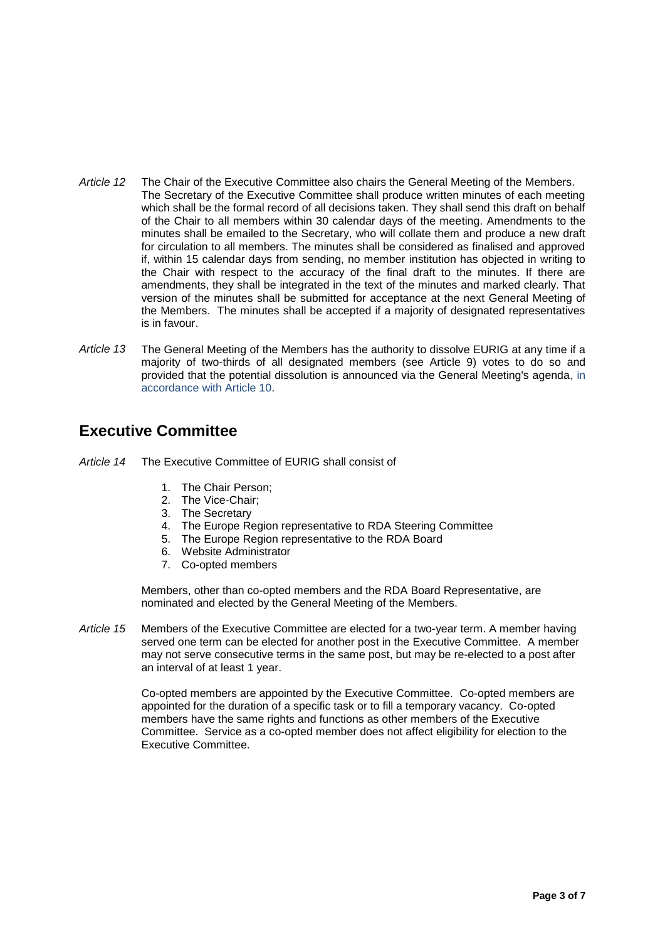- *Article 12* The Chair of the Executive Committee also chairs the General Meeting of the Members. The Secretary of the Executive Committee shall produce written minutes of each meeting which shall be the formal record of all decisions taken. They shall send this draft on behalf of the Chair to all members within 30 calendar days of the meeting. Amendments to the minutes shall be emailed to the Secretary, who will collate them and produce a new draft for circulation to all members. The minutes shall be considered as finalised and approved if, within 15 calendar days from sending, no member institution has objected in writing to the Chair with respect to the accuracy of the final draft to the minutes. If there are amendments, they shall be integrated in the text of the minutes and marked clearly. That version of the minutes shall be submitted for acceptance at the next General Meeting of the Members. The minutes shall be accepted if a majority of designated representatives is in favour.
- *Article 13* The General Meeting of the Members has the authority to dissolve EURIG at any time if a majority of two-thirds of all designated members (see Article 9) votes to do so and provided that the potential dissolution is announced via the General Meeting's agenda, in accordance with Article 10.

# **Executive Committee**

- *Article 14* The Executive Committee of EURIG shall consist of
	- 1. The Chair Person;
	- 2. The Vice-Chair;
	- 3. The Secretary
	- 4. The Europe Region representative to RDA Steering Committee
	- 5. The Europe Region representative to the RDA Board
	- 6. Website Administrator
	- 7. Co-opted members

Members, other than co-opted members and the RDA Board Representative, are nominated and elected by the General Meeting of the Members.

*Article 15* Members of the Executive Committee are elected for a two-year term. A member having served one term can be elected for another post in the Executive Committee. A member may not serve consecutive terms in the same post, but may be re-elected to a post after an interval of at least 1 year.

> Co-opted members are appointed by the Executive Committee. Co-opted members are appointed for the duration of a specific task or to fill a temporary vacancy. Co-opted members have the same rights and functions as other members of the Executive Committee. Service as a co-opted member does not affect eligibility for election to the Executive Committee.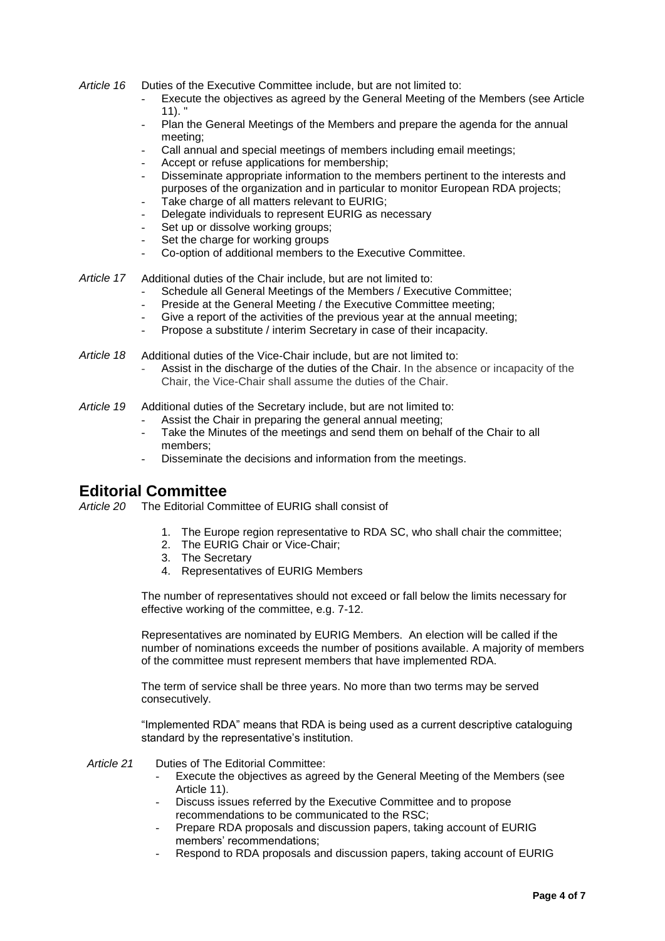- *Article 16* Duties of the Executive Committee include, but are not limited to:
	- Execute the objectives as agreed by the General Meeting of the Members (see Article 11). "
	- Plan the General Meetings of the Members and prepare the agenda for the annual meeting;
	- Call annual and special meetings of members including email meetings;
	- Accept or refuse applications for membership;
	- Disseminate appropriate information to the members pertinent to the interests and purposes of the organization and in particular to monitor European RDA projects;
	- Take charge of all matters relevant to EURIG;
	- Delegate individuals to represent EURIG as necessary
	- Set up or dissolve working groups;
	- Set the charge for working groups
	- Co-option of additional members to the Executive Committee.
- *Article 17* Additional duties of the Chair include, but are not limited to:
	- Schedule all General Meetings of the Members / Executive Committee:
	- Preside at the General Meeting / the Executive Committee meeting:
	- Give a report of the activities of the previous year at the annual meeting;
	- Propose a substitute / interim Secretary in case of their incapacity.
- *Article 18* Additional duties of the Vice-Chair include, but are not limited to:
	- Assist in the discharge of the duties of the Chair. In the absence or incapacity of the Chair, the Vice-Chair shall assume the duties of the Chair.
- *Article 19* Additional duties of the Secretary include, but are not limited to:
	- Assist the Chair in preparing the general annual meeting;
	- Take the Minutes of the meetings and send them on behalf of the Chair to all members;
	- Disseminate the decisions and information from the meetings.

#### **Editorial Committee**

*Article 20* The Editorial Committee of EURIG shall consist of

- 1. The Europe region representative to RDA SC, who shall chair the committee;
- 2. The EURIG Chair or Vice-Chair;
- 3. The Secretary
- 4. Representatives of EURIG Members

The number of representatives should not exceed or fall below the limits necessary for effective working of the committee, e.g. 7-12.

Representatives are nominated by EURIG Members. An election will be called if the number of nominations exceeds the number of positions available. A majority of members of the committee must represent members that have implemented RDA.

The term of service shall be three years. No more than two terms may be served consecutively.

"Implemented RDA" means that RDA is being used as a current descriptive cataloguing standard by the representative's institution.

*Article 21* Duties of The Editorial Committee:

- Execute the objectives as agreed by the General Meeting of the Members (see Article 11).
- Discuss issues referred by the Executive Committee and to propose recommendations to be communicated to the RSC;
- Prepare RDA proposals and discussion papers, taking account of EURIG members' recommendations;
- Respond to RDA proposals and discussion papers, taking account of EURIG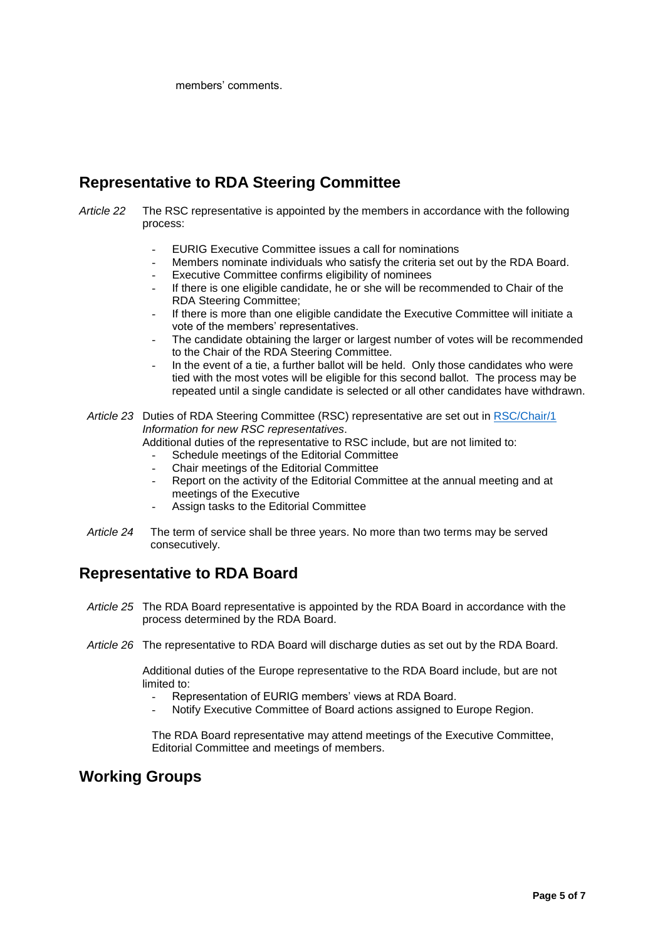members' comments.

# **Representative to RDA Steering Committee**

- *Article 22* The RSC representative is appointed by the members in accordance with the following process:
	- EURIG Executive Committee issues a call for nominations
	- Members nominate individuals who satisfy the criteria set out by the RDA Board.
	- Executive Committee confirms eligibility of nominees
	- If there is one eligible candidate, he or she will be recommended to Chair of the RDA Steering Committee;
	- If there is more than one eligible candidate the Executive Committee will initiate a vote of the members' representatives.
	- The candidate obtaining the larger or largest number of votes will be recommended to the Chair of the RDA Steering Committee.
	- In the event of a tie, a further ballot will be held. Only those candidates who were tied with the most votes will be eligible for this second ballot. The process may be repeated until a single candidate is selected or all other candidates have withdrawn.
	- *Article 23* Duties of RDA Steering Committee (RSC) representative are set out in [RSC/Chair/1](http://www.rda-jsc.org/sites/all/files/RSC-Chair-1.pdf) *Information for new RSC representatives*.

Additional duties of the representative to RSC include, but are not limited to:

- Schedule meetings of the Editorial Committee
- Chair meetings of the Editorial Committee
- Report on the activity of the Editorial Committee at the annual meeting and at meetings of the Executive
- Assign tasks to the Editorial Committee
- *Article 24* The term of service shall be three years. No more than two terms may be served consecutively.

# **Representative to RDA Board**

- *Article 25* The RDA Board representative is appointed by the RDA Board in accordance with the process determined by the RDA Board.
- *Article 26* The representative to RDA Board will discharge duties as set out by the RDA Board.

Additional duties of the Europe representative to the RDA Board include, but are not limited to:

- Representation of EURIG members' views at RDA Board.
- Notify Executive Committee of Board actions assigned to Europe Region.

The RDA Board representative may attend meetings of the Executive Committee, Editorial Committee and meetings of members.

#### **Working Groups**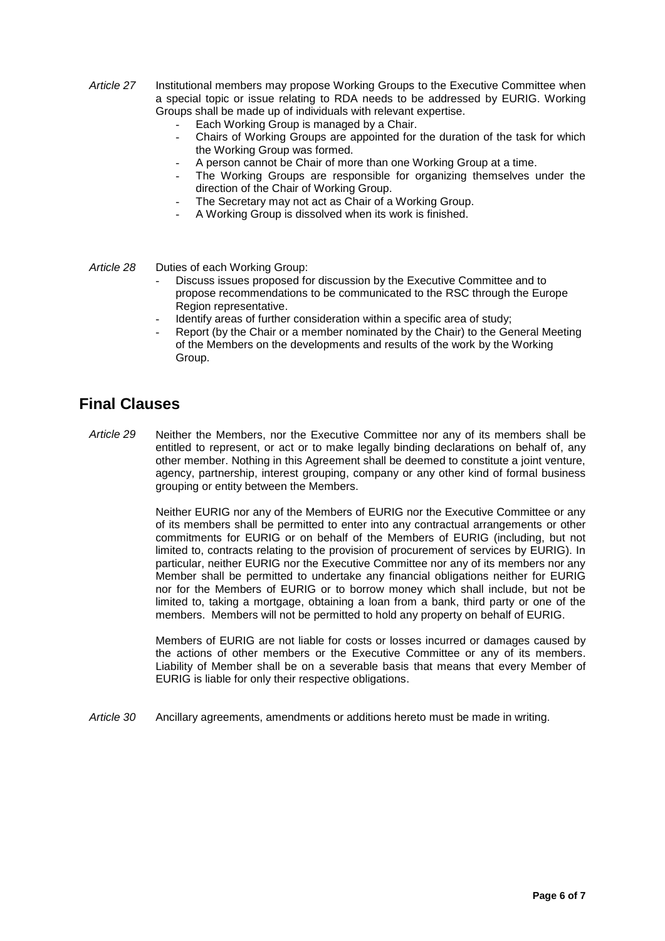- *Article 27* Institutional members may propose Working Groups to the Executive Committee when a special topic or issue relating to RDA needs to be addressed by EURIG. Working Groups shall be made up of individuals with relevant expertise.
	- Each Working Group is managed by a Chair.
	- Chairs of Working Groups are appointed for the duration of the task for which the Working Group was formed.
	- A person cannot be Chair of more than one Working Group at a time.
	- The Working Groups are responsible for organizing themselves under the direction of the Chair of Working Group.
	- The Secretary may not act as Chair of a Working Group.
	- A Working Group is dissolved when its work is finished.
- *Article 28* Duties of each Working Group:
	- Discuss issues proposed for discussion by the Executive Committee and to propose recommendations to be communicated to the RSC through the Europe Region representative.
	- Identify areas of further consideration within a specific area of study;
	- Report (by the Chair or a member nominated by the Chair) to the General Meeting of the Members on the developments and results of the work by the Working Group.

# **Final Clauses**

*Article 29* Neither the Members, nor the Executive Committee nor any of its members shall be entitled to represent, or act or to make legally binding declarations on behalf of, any other member. Nothing in this Agreement shall be deemed to constitute a joint venture, agency, partnership, interest grouping, company or any other kind of formal business grouping or entity between the Members.

> Neither EURIG nor any of the Members of EURIG nor the Executive Committee or any of its members shall be permitted to enter into any contractual arrangements or other commitments for EURIG or on behalf of the Members of EURIG (including, but not limited to, contracts relating to the provision of procurement of services by EURIG). In particular, neither EURIG nor the Executive Committee nor any of its members nor any Member shall be permitted to undertake any financial obligations neither for EURIG nor for the Members of EURIG or to borrow money which shall include, but not be limited to, taking a mortgage, obtaining a loan from a bank, third party or one of the members. Members will not be permitted to hold any property on behalf of EURIG.

> Members of EURIG are not liable for costs or losses incurred or damages caused by the actions of other members or the Executive Committee or any of its members. Liability of Member shall be on a severable basis that means that every Member of EURIG is liable for only their respective obligations.

*Article 30* Ancillary agreements, amendments or additions hereto must be made in writing.